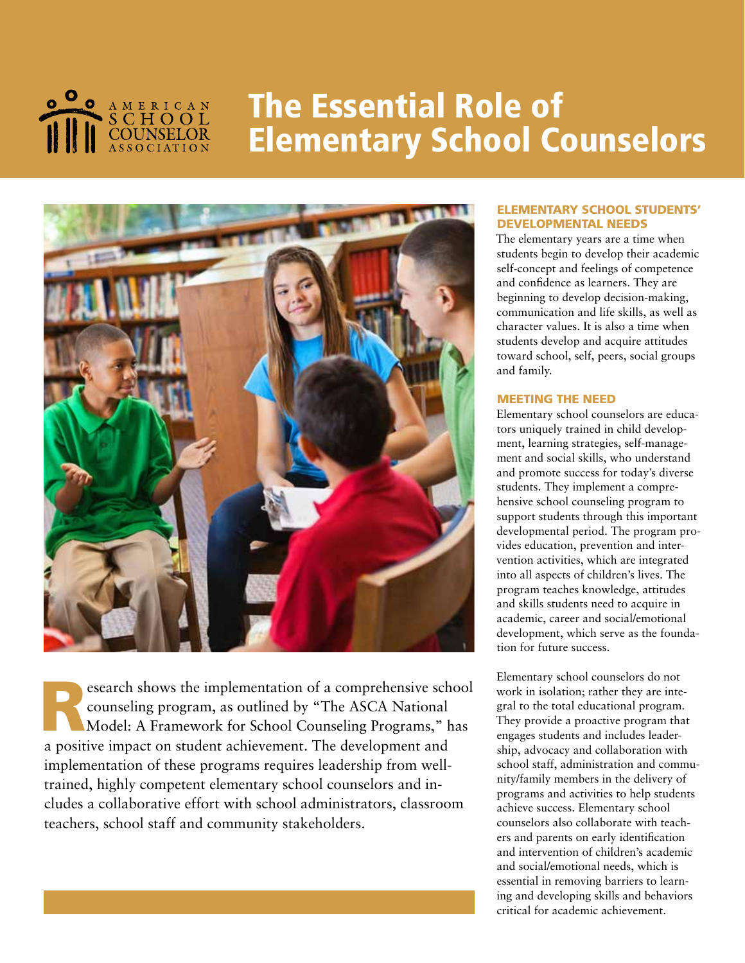

# The Essential Role of Elementary School Counselors



Search shows the implementation of a comprehensive school<br>counseling program, as outlined by "The ASCA National<br>Model: A Framework for School Counseling Programs," has counseling program, as outlined by "The ASCA National Model: A Framework for School Counseling Programs," has a positive impact on student achievement. The development and implementation of these programs requires leadership from welltrained, highly competent elementary school counselors and includes a collaborative effort with school administrators, classroom teachers, school staff and community stakeholders.

### ELEMENTARY SCHOOL STUDENTS' DEVELOPMENTAL NEEDS

The elementary years are a time when students begin to develop their academic self-concept and feelings of competence and confidence as learners. They are beginning to develop decision-making, communication and life skills, as well as character values. It is also a time when students develop and acquire attitudes toward school, self, peers, social groups and family.

### MEETING THE NEED

Elementary school counselors are educators uniquely trained in child development, learning strategies, self-management and social skills, who understand and promote success for today's diverse students. They implement a comprehensive school counseling program to support students through this important developmental period. The program provides education, prevention and intervention activities, which are integrated into all aspects of children's lives. The program teaches knowledge, attitudes and skills students need to acquire in academic, career and social/emotional development, which serve as the foundation for future success.

Elementary school counselors do not work in isolation; rather they are integral to the total educational program. They provide a proactive program that engages students and includes leadership, advocacy and collaboration with school staff, administration and community/family members in the delivery of programs and activities to help students achieve success. Elementary school counselors also collaborate with teachers and parents on early identification and intervention of children's academic and social/emotional needs, which is essential in removing barriers to learning and developing skills and behaviors critical for academic achievement.